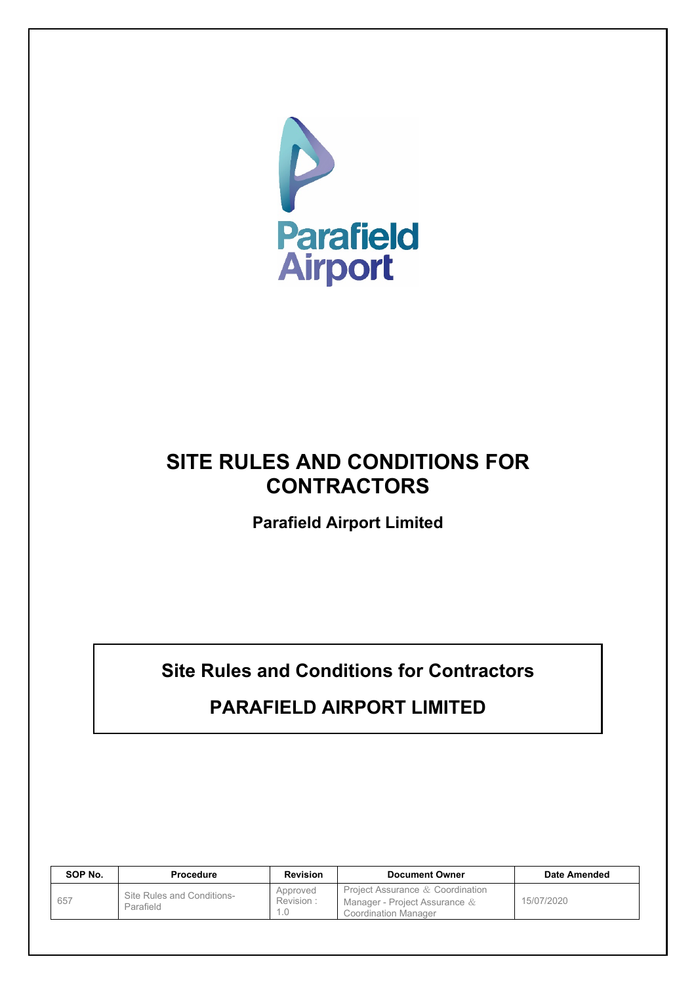

# **SITE RULES AND CONDITIONS FOR CONTRACTORS**

**Parafield Airport Limited**

**Site Rules and Conditions for Contractors**

# **PARAFIELD AIRPORT LIMITED**

| SOP No. | <b>Procedure</b>                        | <b>Revision</b>              | <b>Document Owner</b>                                                                       | Date Amended |
|---------|-----------------------------------------|------------------------------|---------------------------------------------------------------------------------------------|--------------|
| 657     | Site Rules and Conditions-<br>Parafield | Approved<br>Revision:<br>1.0 | Project Assurance & Coordination<br>Manager - Project Assurance $&$<br>Coordination Manager | 15/07/2020   |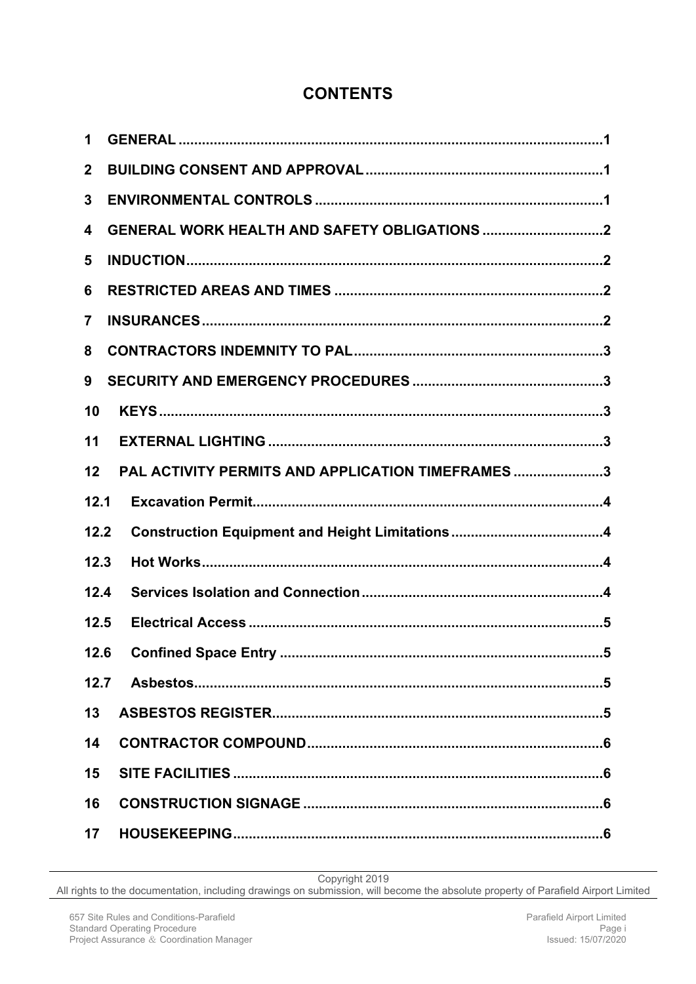# **CONTENTS**

| 1                       |                                                   |
|-------------------------|---------------------------------------------------|
| $\mathbf{2}$            |                                                   |
| 3                       |                                                   |
| 4                       |                                                   |
| 5                       |                                                   |
| 6                       |                                                   |
| $\overline{\mathbf{7}}$ |                                                   |
| 8                       |                                                   |
| 9                       |                                                   |
| 10                      |                                                   |
| 11                      |                                                   |
| 12                      | PAL ACTIVITY PERMITS AND APPLICATION TIMEFRAMES 3 |
|                         |                                                   |
| 12.1                    |                                                   |
| 12.2                    |                                                   |
| 12.3                    |                                                   |
| 12.4                    |                                                   |
| 12.5                    |                                                   |
| 12.6                    |                                                   |
|                         |                                                   |
| 13                      |                                                   |
| 14                      |                                                   |
| 15                      |                                                   |
| 16                      |                                                   |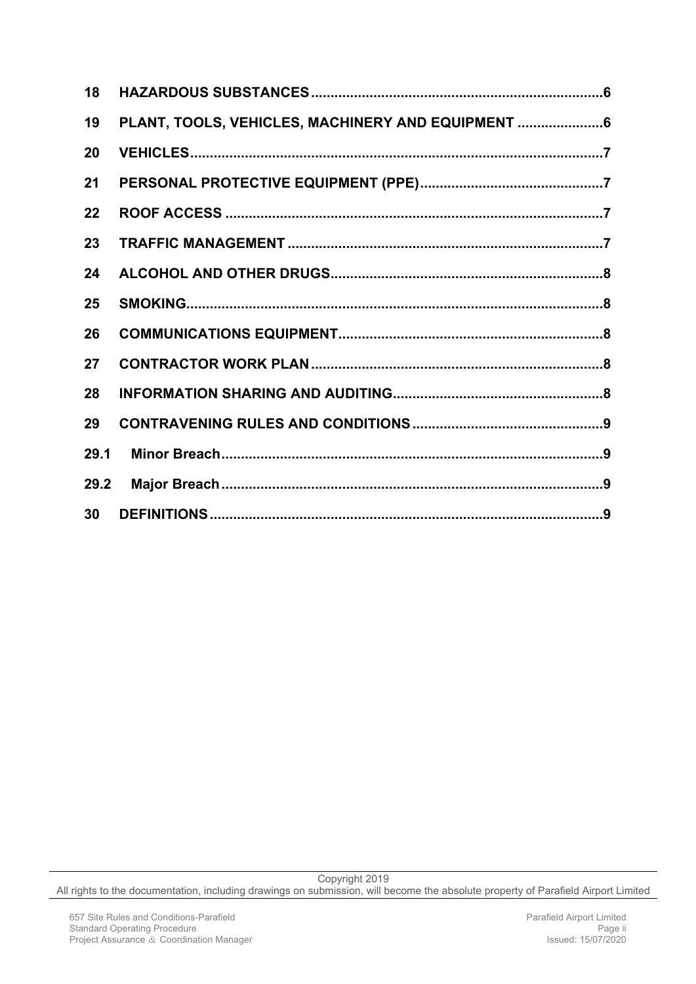| 18   |                                                    |  |
|------|----------------------------------------------------|--|
| 19   | PLANT, TOOLS, VEHICLES, MACHINERY AND EQUIPMENT  6 |  |
| 20   |                                                    |  |
| 21   |                                                    |  |
| 22   |                                                    |  |
| 23   |                                                    |  |
| 24   |                                                    |  |
| 25   |                                                    |  |
| 26   |                                                    |  |
| 27   |                                                    |  |
| 28   |                                                    |  |
| 29   |                                                    |  |
| 29.1 |                                                    |  |
| 29.2 |                                                    |  |
| 30   |                                                    |  |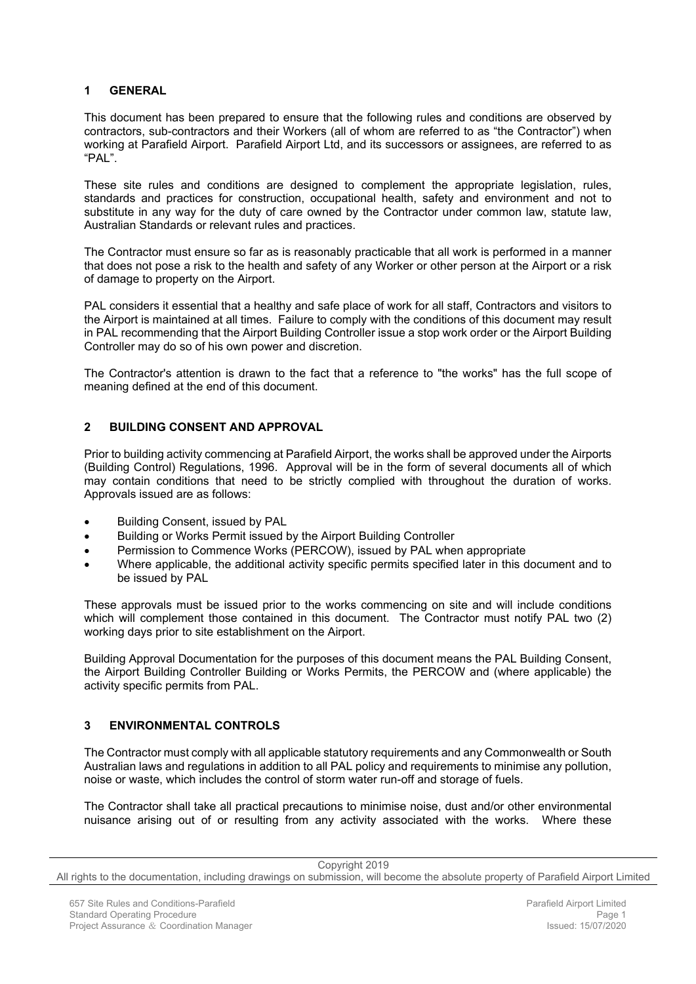# <span id="page-3-0"></span>**1 GENERAL**

This document has been prepared to ensure that the following rules and conditions are observed by contractors, sub-contractors and their Workers (all of whom are referred to as "the Contractor") when working at Parafield Airport. Parafield Airport Ltd, and its successors or assignees, are referred to as "PAL".

These site rules and conditions are designed to complement the appropriate legislation, rules, standards and practices for construction, occupational health, safety and environment and not to substitute in any way for the duty of care owned by the Contractor under common law, statute law, Australian Standards or relevant rules and practices.

The Contractor must ensure so far as is reasonably practicable that all work is performed in a manner that does not pose a risk to the health and safety of any Worker or other person at the Airport or a risk of damage to property on the Airport.

PAL considers it essential that a healthy and safe place of work for all staff, Contractors and visitors to the Airport is maintained at all times. Failure to comply with the conditions of this document may result in PAL recommending that the Airport Building Controller issue a stop work order or the Airport Building Controller may do so of his own power and discretion.

The Contractor's attention is drawn to the fact that a reference to "the works" has the full scope of meaning defined at the end of this document.

# <span id="page-3-1"></span>**2 BUILDING CONSENT AND APPROVAL**

Prior to building activity commencing at Parafield Airport, the works shall be approved under the Airports (Building Control) Regulations, 1996. Approval will be in the form of several documents all of which may contain conditions that need to be strictly complied with throughout the duration of works. Approvals issued are as follows:

- Building Consent, issued by PAL
- Building or Works Permit issued by the Airport Building Controller
- Permission to Commence Works (PERCOW), issued by PAL when appropriate
- Where applicable, the additional activity specific permits specified later in this document and to be issued by PAL

These approvals must be issued prior to the works commencing on site and will include conditions which will complement those contained in this document. The Contractor must notify PAL two (2) working days prior to site establishment on the Airport.

Building Approval Documentation for the purposes of this document means the PAL Building Consent, the Airport Building Controller Building or Works Permits, the PERCOW and (where applicable) the activity specific permits from PAL.

# <span id="page-3-2"></span>**3 ENVIRONMENTAL CONTROLS**

The Contractor must comply with all applicable statutory requirements and any Commonwealth or South Australian laws and regulations in addition to all PAL policy and requirements to minimise any pollution, noise or waste, which includes the control of storm water run-off and storage of fuels.

The Contractor shall take all practical precautions to minimise noise, dust and/or other environmental nuisance arising out of or resulting from any activity associated with the works. Where these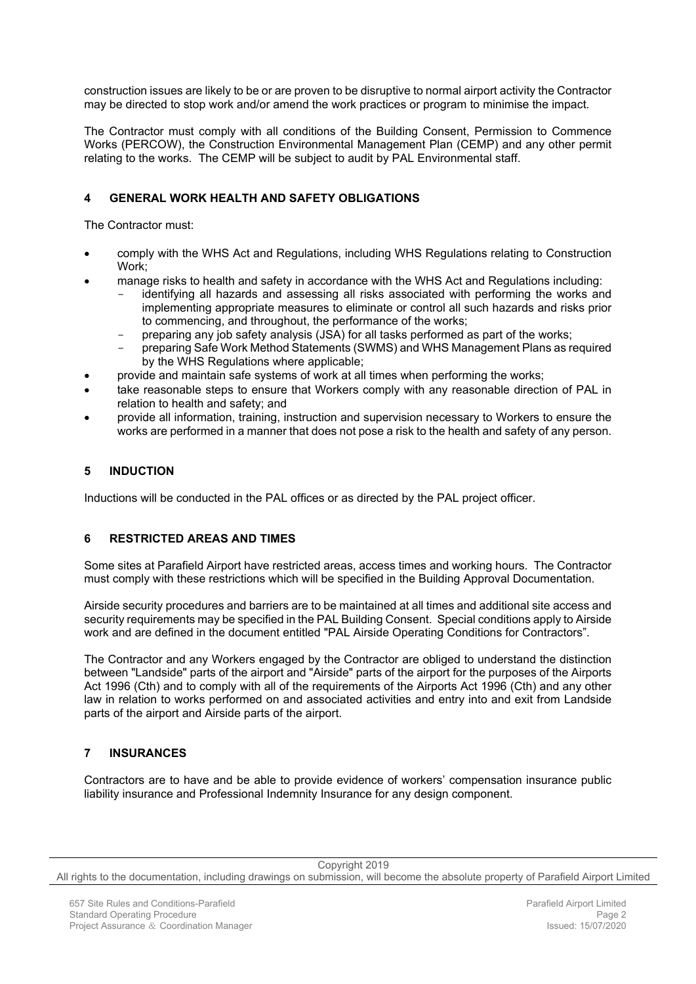construction issues are likely to be or are proven to be disruptive to normal airport activity the Contractor may be directed to stop work and/or amend the work practices or program to minimise the impact.

The Contractor must comply with all conditions of the Building Consent, Permission to Commence Works (PERCOW), the Construction Environmental Management Plan (CEMP) and any other permit relating to the works. The CEMP will be subject to audit by PAL Environmental staff.

# <span id="page-4-0"></span>**4 GENERAL WORK HEALTH AND SAFETY OBLIGATIONS**

The Contractor must:

- comply with the WHS Act and Regulations, including WHS Regulations relating to Construction Work;
- manage risks to health and safety in accordance with the WHS Act and Regulations including:
	- identifying all hazards and assessing all risks associated with performing the works and implementing appropriate measures to eliminate or control all such hazards and risks prior to commencing, and throughout, the performance of the works;
	- preparing any job safety analysis (JSA) for all tasks performed as part of the works;
	- preparing Safe Work Method Statements (SWMS) and WHS Management Plans as required by the WHS Regulations where applicable;
- provide and maintain safe systems of work at all times when performing the works;
- take reasonable steps to ensure that Workers comply with any reasonable direction of PAL in relation to health and safety; and
- provide all information, training, instruction and supervision necessary to Workers to ensure the works are performed in a manner that does not pose a risk to the health and safety of any person.

# <span id="page-4-1"></span>**5 INDUCTION**

Inductions will be conducted in the PAL offices or as directed by the PAL project officer.

# <span id="page-4-2"></span>**6 RESTRICTED AREAS AND TIMES**

Some sites at Parafield Airport have restricted areas, access times and working hours. The Contractor must comply with these restrictions which will be specified in the Building Approval Documentation.

Airside security procedures and barriers are to be maintained at all times and additional site access and security requirements may be specified in the PAL Building Consent. Special conditions apply to Airside work and are defined in the document entitled "PAL Airside Operating Conditions for Contractors".

The Contractor and any Workers engaged by the Contractor are obliged to understand the distinction between "Landside" parts of the airport and "Airside" parts of the airport for the purposes of the Airports Act 1996 (Cth) and to comply with all of the requirements of the Airports Act 1996 (Cth) and any other law in relation to works performed on and associated activities and entry into and exit from Landside parts of the airport and Airside parts of the airport.

# <span id="page-4-3"></span>**7 INSURANCES**

Contractors are to have and be able to provide evidence of workers' compensation insurance public liability insurance and Professional Indemnity Insurance for any design component.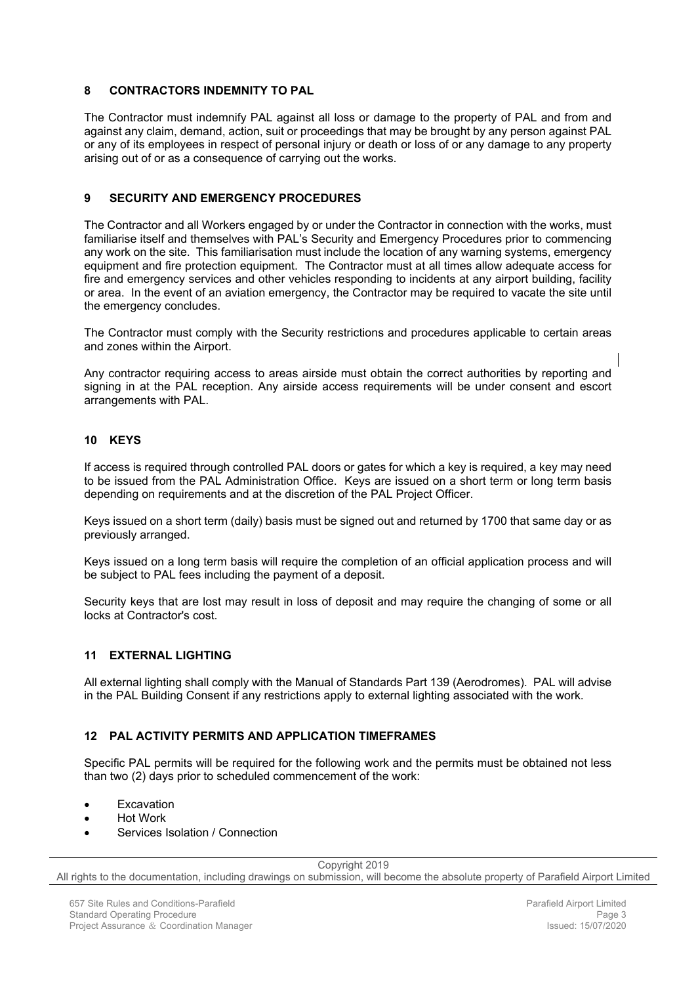#### <span id="page-5-0"></span>**8 CONTRACTORS INDEMNITY TO PAL**

The Contractor must indemnify PAL against all loss or damage to the property of PAL and from and against any claim, demand, action, suit or proceedings that may be brought by any person against PAL or any of its employees in respect of personal injury or death or loss of or any damage to any property arising out of or as a consequence of carrying out the works.

# <span id="page-5-1"></span>**9 SECURITY AND EMERGENCY PROCEDURES**

The Contractor and all Workers engaged by or under the Contractor in connection with the works, must familiarise itself and themselves with PAL's Security and Emergency Procedures prior to commencing any work on the site. This familiarisation must include the location of any warning systems, emergency equipment and fire protection equipment. The Contractor must at all times allow adequate access for fire and emergency services and other vehicles responding to incidents at any airport building, facility or area. In the event of an aviation emergency, the Contractor may be required to vacate the site until the emergency concludes.

The Contractor must comply with the Security restrictions and procedures applicable to certain areas and zones within the Airport.

Any contractor requiring access to areas airside must obtain the correct authorities by reporting and signing in at the PAL reception. Any airside access requirements will be under consent and escort arrangements with PAL.

# <span id="page-5-2"></span>**10 KEYS**

If access is required through controlled PAL doors or gates for which a key is required, a key may need to be issued from the PAL Administration Office. Keys are issued on a short term or long term basis depending on requirements and at the discretion of the PAL Project Officer.

Keys issued on a short term (daily) basis must be signed out and returned by 1700 that same day or as previously arranged.

Keys issued on a long term basis will require the completion of an official application process and will be subject to PAL fees including the payment of a deposit.

Security keys that are lost may result in loss of deposit and may require the changing of some or all locks at Contractor's cost.

#### <span id="page-5-3"></span>**11 EXTERNAL LIGHTING**

All external lighting shall comply with the Manual of Standards Part 139 (Aerodromes). PAL will advise in the PAL Building Consent if any restrictions apply to external lighting associated with the work.

# <span id="page-5-4"></span>**12 PAL ACTIVITY PERMITS AND APPLICATION TIMEFRAMES**

Specific PAL permits will be required for the following work and the permits must be obtained not less than two (2) days prior to scheduled commencement of the work:

- **Excavation**
- Hot Work
- Services Isolation / Connection

Copyright 2019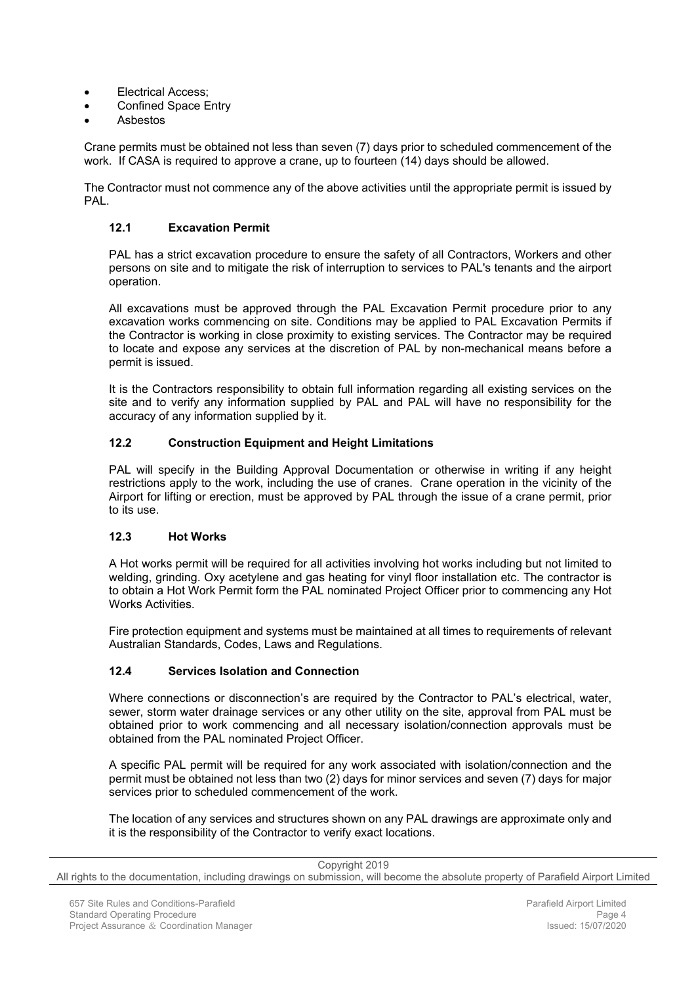- Electrical Access;
- Confined Space Entry
- Asbestos

Crane permits must be obtained not less than seven (7) days prior to scheduled commencement of the work. If CASA is required to approve a crane, up to fourteen (14) days should be allowed.

The Contractor must not commence any of the above activities until the appropriate permit is issued by **PAL.** 

#### <span id="page-6-0"></span>**12.1 Excavation Permit**

PAL has a strict excavation procedure to ensure the safety of all Contractors, Workers and other persons on site and to mitigate the risk of interruption to services to PAL's tenants and the airport operation.

All excavations must be approved through the PAL Excavation Permit procedure prior to any excavation works commencing on site. Conditions may be applied to PAL Excavation Permits if the Contractor is working in close proximity to existing services. The Contractor may be required to locate and expose any services at the discretion of PAL by non-mechanical means before a permit is issued.

It is the Contractors responsibility to obtain full information regarding all existing services on the site and to verify any information supplied by PAL and PAL will have no responsibility for the accuracy of any information supplied by it.

# <span id="page-6-1"></span>**12.2 Construction Equipment and Height Limitations**

PAL will specify in the Building Approval Documentation or otherwise in writing if any height restrictions apply to the work, including the use of cranes. Crane operation in the vicinity of the Airport for lifting or erection, must be approved by PAL through the issue of a crane permit, prior to its use.

#### <span id="page-6-2"></span>**12.3 Hot Works**

A Hot works permit will be required for all activities involving hot works including but not limited to welding, grinding. Oxy acetylene and gas heating for vinyl floor installation etc. The contractor is to obtain a Hot Work Permit form the PAL nominated Project Officer prior to commencing any Hot Works Activities.

Fire protection equipment and systems must be maintained at all times to requirements of relevant Australian Standards, Codes, Laws and Regulations.

#### <span id="page-6-3"></span>**12.4 Services Isolation and Connection**

Where connections or disconnection's are required by the Contractor to PAL's electrical, water, sewer, storm water drainage services or any other utility on the site, approval from PAL must be obtained prior to work commencing and all necessary isolation/connection approvals must be obtained from the PAL nominated Project Officer.

A specific PAL permit will be required for any work associated with isolation/connection and the permit must be obtained not less than two (2) days for minor services and seven (7) days for major services prior to scheduled commencement of the work.

The location of any services and structures shown on any PAL drawings are approximate only and it is the responsibility of the Contractor to verify exact locations.

| Copyright 2019                                                                                                                    |  |
|-----------------------------------------------------------------------------------------------------------------------------------|--|
| All rights to the documentation, including drawings on submission, will become the absolute property of Parafield Airport Limited |  |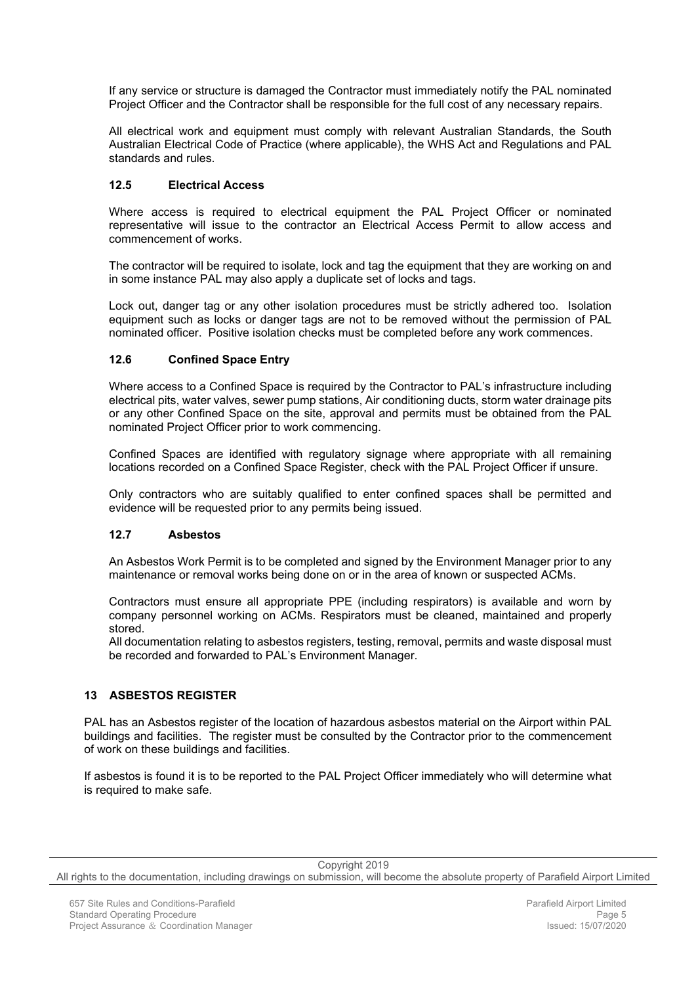If any service or structure is damaged the Contractor must immediately notify the PAL nominated Project Officer and the Contractor shall be responsible for the full cost of any necessary repairs.

All electrical work and equipment must comply with relevant Australian Standards, the South Australian Electrical Code of Practice (where applicable), the WHS Act and Regulations and PAL standards and rules.

# <span id="page-7-0"></span>**12.5 Electrical Access**

Where access is required to electrical equipment the PAL Project Officer or nominated representative will issue to the contractor an Electrical Access Permit to allow access and commencement of works.

The contractor will be required to isolate, lock and tag the equipment that they are working on and in some instance PAL may also apply a duplicate set of locks and tags.

Lock out, danger tag or any other isolation procedures must be strictly adhered too. Isolation equipment such as locks or danger tags are not to be removed without the permission of PAL nominated officer. Positive isolation checks must be completed before any work commences.

# <span id="page-7-1"></span>**12.6 Confined Space Entry**

Where access to a Confined Space is required by the Contractor to PAL's infrastructure including electrical pits, water valves, sewer pump stations, Air conditioning ducts, storm water drainage pits or any other Confined Space on the site, approval and permits must be obtained from the PAL nominated Project Officer prior to work commencing.

Confined Spaces are identified with regulatory signage where appropriate with all remaining locations recorded on a Confined Space Register, check with the PAL Project Officer if unsure.

Only contractors who are suitably qualified to enter confined spaces shall be permitted and evidence will be requested prior to any permits being issued.

#### <span id="page-7-2"></span>**12.7 Asbestos**

An Asbestos Work Permit is to be completed and signed by the Environment Manager prior to any maintenance or removal works being done on or in the area of known or suspected ACMs.

Contractors must ensure all appropriate PPE (including respirators) is available and worn by company personnel working on ACMs. Respirators must be cleaned, maintained and properly stored.

All documentation relating to asbestos registers, testing, removal, permits and waste disposal must be recorded and forwarded to PAL's Environment Manager.

# <span id="page-7-3"></span>**13 ASBESTOS REGISTER**

PAL has an Asbestos register of the location of hazardous asbestos material on the Airport within PAL buildings and facilities. The register must be consulted by the Contractor prior to the commencement of work on these buildings and facilities.

If asbestos is found it is to be reported to the PAL Project Officer immediately who will determine what is required to make safe.

Copyright 2019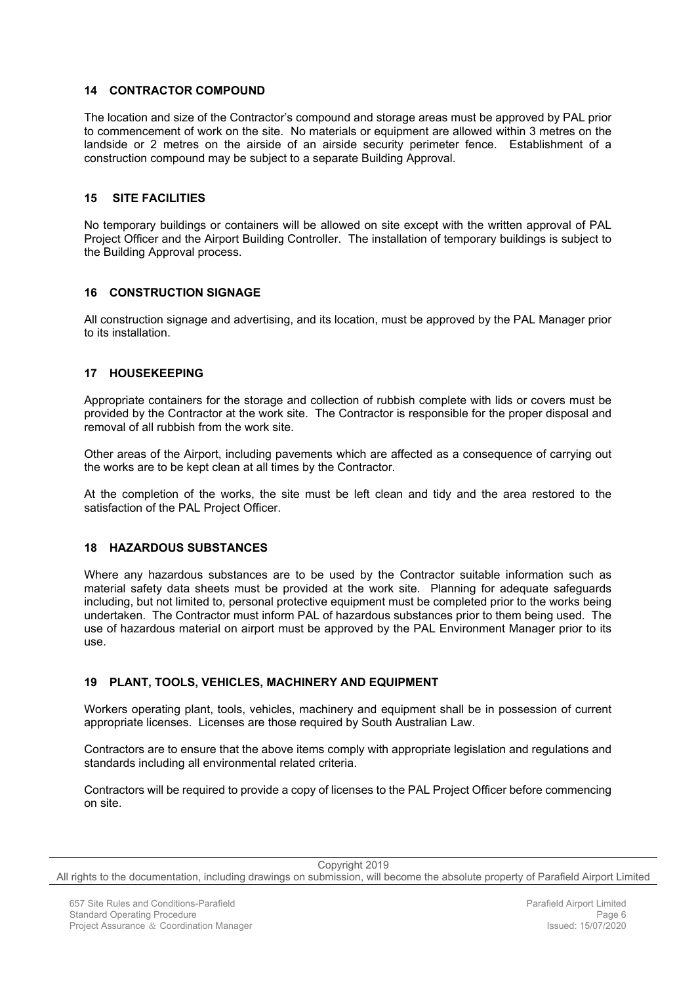# <span id="page-8-0"></span>**14 CONTRACTOR COMPOUND**

The location and size of the Contractor's compound and storage areas must be approved by PAL prior to commencement of work on the site. No materials or equipment are allowed within 3 metres on the landside or 2 metres on the airside of an airside security perimeter fence. Establishment of a construction compound may be subject to a separate Building Approval.

# <span id="page-8-1"></span>**15 SITE FACILITIES**

No temporary buildings or containers will be allowed on site except with the written approval of PAL Project Officer and the Airport Building Controller. The installation of temporary buildings is subject to the Building Approval process.

# <span id="page-8-2"></span>**16 CONSTRUCTION SIGNAGE**

All construction signage and advertising, and its location, must be approved by the PAL Manager prior to its installation.

# <span id="page-8-3"></span>**17 HOUSEKEEPING**

Appropriate containers for the storage and collection of rubbish complete with lids or covers must be provided by the Contractor at the work site. The Contractor is responsible for the proper disposal and removal of all rubbish from the work site.

Other areas of the Airport, including pavements which are affected as a consequence of carrying out the works are to be kept clean at all times by the Contractor.

At the completion of the works, the site must be left clean and tidy and the area restored to the satisfaction of the PAL Project Officer.

#### <span id="page-8-4"></span>**18 HAZARDOUS SUBSTANCES**

Where any hazardous substances are to be used by the Contractor suitable information such as material safety data sheets must be provided at the work site. Planning for adequate safeguards including, but not limited to, personal protective equipment must be completed prior to the works being undertaken. The Contractor must inform PAL of hazardous substances prior to them being used. The use of hazardous material on airport must be approved by the PAL Environment Manager prior to its use.

#### <span id="page-8-5"></span>**19 PLANT, TOOLS, VEHICLES, MACHINERY AND EQUIPMENT**

Workers operating plant, tools, vehicles, machinery and equipment shall be in possession of current appropriate licenses. Licenses are those required by South Australian Law.

Contractors are to ensure that the above items comply with appropriate legislation and regulations and standards including all environmental related criteria.

Contractors will be required to provide a copy of licenses to the PAL Project Officer before commencing on site.

Copyright 2019

All rights to the documentation, including drawings on submission, will become the absolute property of Parafield Airport Limited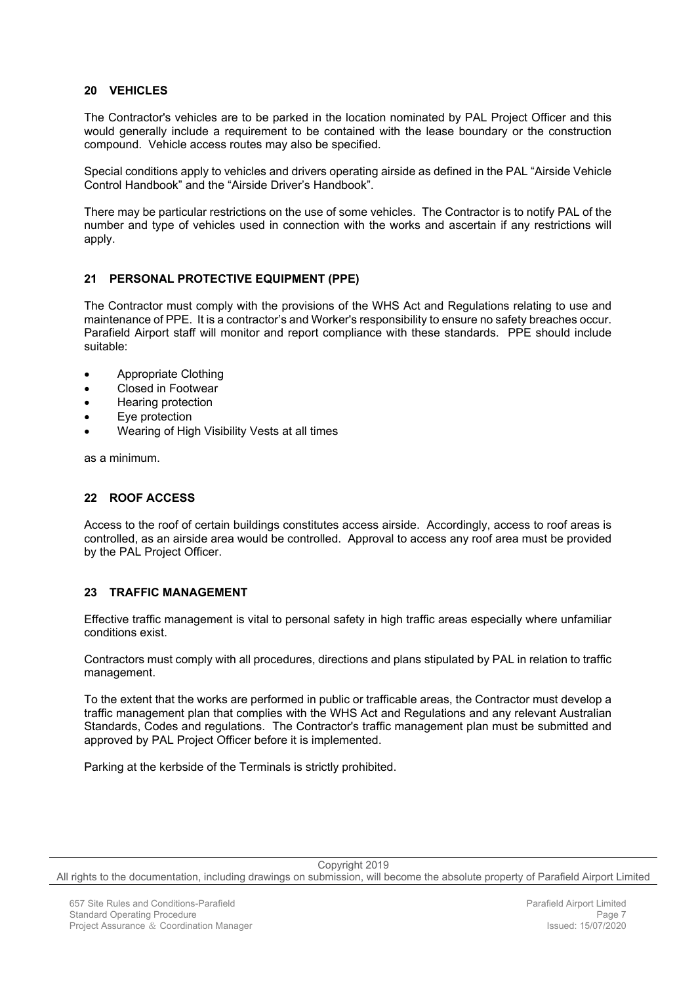# <span id="page-9-0"></span>**20 VEHICLES**

The Contractor's vehicles are to be parked in the location nominated by PAL Project Officer and this would generally include a requirement to be contained with the lease boundary or the construction compound. Vehicle access routes may also be specified.

Special conditions apply to vehicles and drivers operating airside as defined in the PAL "Airside Vehicle Control Handbook" and the "Airside Driver's Handbook".

There may be particular restrictions on the use of some vehicles. The Contractor is to notify PAL of the number and type of vehicles used in connection with the works and ascertain if any restrictions will apply.

# <span id="page-9-1"></span>**21 PERSONAL PROTECTIVE EQUIPMENT (PPE)**

The Contractor must comply with the provisions of the WHS Act and Regulations relating to use and maintenance of PPE. It is a contractor's and Worker's responsibility to ensure no safety breaches occur. Parafield Airport staff will monitor and report compliance with these standards. PPE should include suitable:

- Appropriate Clothing
- Closed in Footwear
- Hearing protection
- Eye protection
- Wearing of High Visibility Vests at all times

as a minimum.

# <span id="page-9-2"></span>**22 ROOF ACCESS**

Access to the roof of certain buildings constitutes access airside. Accordingly, access to roof areas is controlled, as an airside area would be controlled. Approval to access any roof area must be provided by the PAL Project Officer.

#### <span id="page-9-3"></span>**23 TRAFFIC MANAGEMENT**

Effective traffic management is vital to personal safety in high traffic areas especially where unfamiliar conditions exist.

Contractors must comply with all procedures, directions and plans stipulated by PAL in relation to traffic management.

To the extent that the works are performed in public or trafficable areas, the Contractor must develop a traffic management plan that complies with the WHS Act and Regulations and any relevant Australian Standards, Codes and regulations. The Contractor's traffic management plan must be submitted and approved by PAL Project Officer before it is implemented.

Parking at the kerbside of the Terminals is strictly prohibited.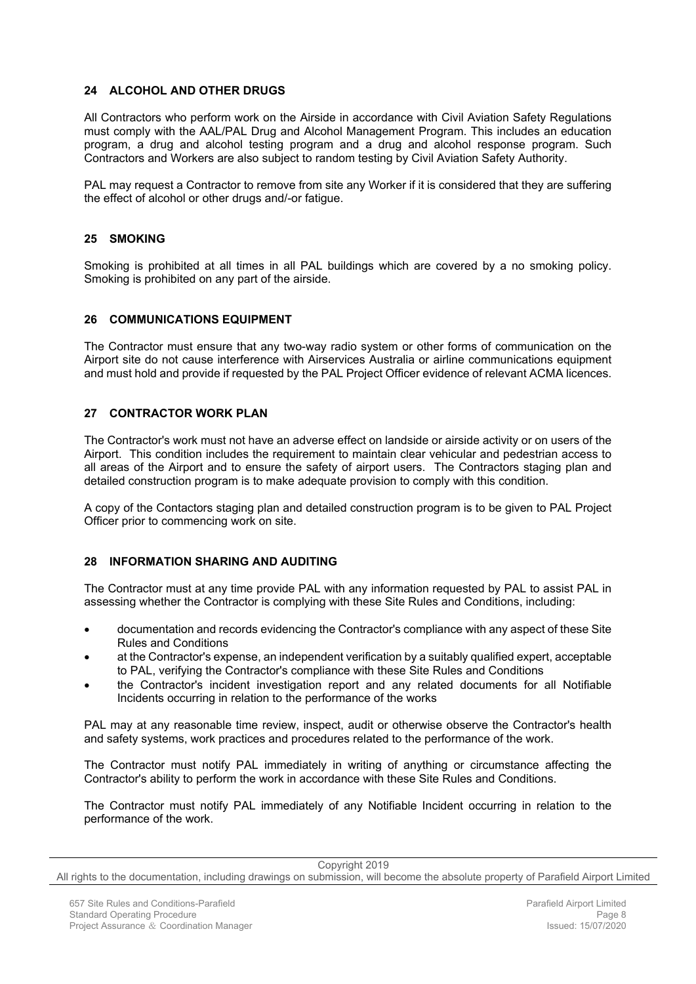# <span id="page-10-0"></span>**24 ALCOHOL AND OTHER DRUGS**

All Contractors who perform work on the Airside in accordance with Civil Aviation Safety Regulations must comply with the AAL/PAL Drug and Alcohol Management Program. This includes an education program, a drug and alcohol testing program and a drug and alcohol response program. Such Contractors and Workers are also subject to random testing by Civil Aviation Safety Authority.

PAL may request a Contractor to remove from site any Worker if it is considered that they are suffering the effect of alcohol or other drugs and/-or fatigue.

#### <span id="page-10-1"></span>**25 SMOKING**

Smoking is prohibited at all times in all PAL buildings which are covered by a no smoking policy. Smoking is prohibited on any part of the airside.

#### <span id="page-10-2"></span>**26 COMMUNICATIONS EQUIPMENT**

The Contractor must ensure that any two-way radio system or other forms of communication on the Airport site do not cause interference with Airservices Australia or airline communications equipment and must hold and provide if requested by the PAL Project Officer evidence of relevant ACMA licences.

#### <span id="page-10-3"></span>**27 CONTRACTOR WORK PLAN**

The Contractor's work must not have an adverse effect on landside or airside activity or on users of the Airport. This condition includes the requirement to maintain clear vehicular and pedestrian access to all areas of the Airport and to ensure the safety of airport users. The Contractors staging plan and detailed construction program is to make adequate provision to comply with this condition.

A copy of the Contactors staging plan and detailed construction program is to be given to PAL Project Officer prior to commencing work on site.

#### <span id="page-10-4"></span>**28 INFORMATION SHARING AND AUDITING**

The Contractor must at any time provide PAL with any information requested by PAL to assist PAL in assessing whether the Contractor is complying with these Site Rules and Conditions, including:

- documentation and records evidencing the Contractor's compliance with any aspect of these Site Rules and Conditions
- at the Contractor's expense, an independent verification by a suitably qualified expert, acceptable to PAL, verifying the Contractor's compliance with these Site Rules and Conditions
- the Contractor's incident investigation report and any related documents for all Notifiable Incidents occurring in relation to the performance of the works

PAL may at any reasonable time review, inspect, audit or otherwise observe the Contractor's health and safety systems, work practices and procedures related to the performance of the work.

The Contractor must notify PAL immediately in writing of anything or circumstance affecting the Contractor's ability to perform the work in accordance with these Site Rules and Conditions.

The Contractor must notify PAL immediately of any Notifiable Incident occurring in relation to the performance of the work.

Copyright 2019

All rights to the documentation, including drawings on submission, will become the absolute property of Parafield Airport Limited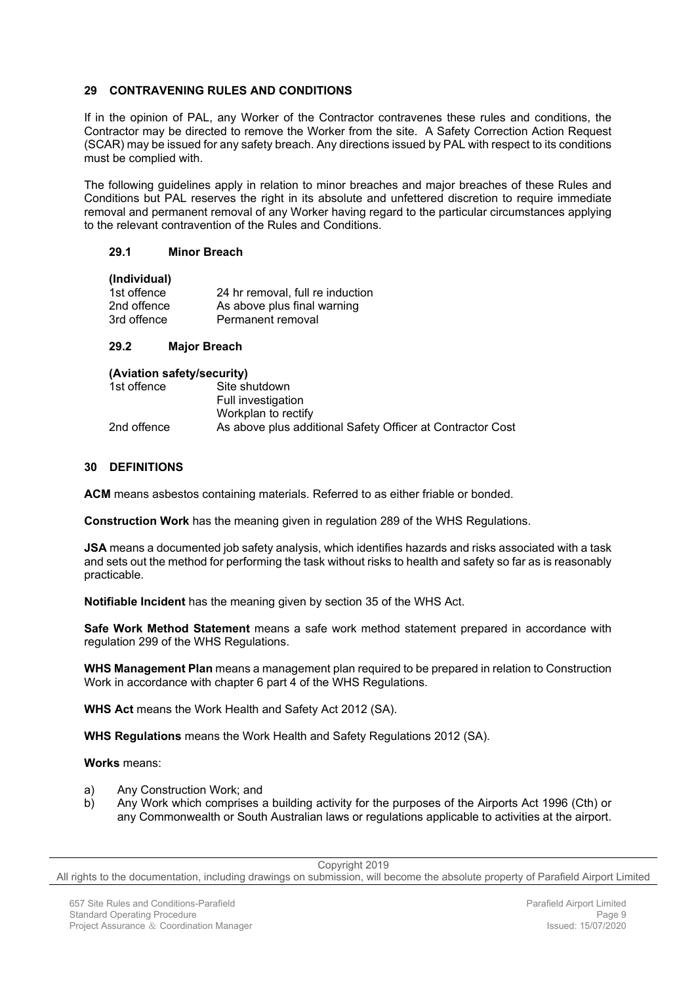# <span id="page-11-0"></span>**29 CONTRAVENING RULES AND CONDITIONS**

If in the opinion of PAL, any Worker of the Contractor contravenes these rules and conditions, the Contractor may be directed to remove the Worker from the site. A Safety Correction Action Request (SCAR) may be issued for any safety breach. Any directions issued by PAL with respect to its conditions must be complied with.

The following guidelines apply in relation to minor breaches and major breaches of these Rules and Conditions but PAL reserves the right in its absolute and unfettered discretion to require immediate removal and permanent removal of any Worker having regard to the particular circumstances applying to the relevant contravention of the Rules and Conditions.

#### <span id="page-11-1"></span>**29.1 Minor Breach**

#### **(Individual)**

| 1st offence | 24 hr removal, full re induction |
|-------------|----------------------------------|
| 2nd offence | As above plus final warning      |
| 3rd offence | Permanent removal                |

#### <span id="page-11-2"></span>**29.2 Major Breach**

| (Aviation safety/security) |                                                            |
|----------------------------|------------------------------------------------------------|
| 1st offence                | Site shutdown                                              |
|                            | Full investigation                                         |
|                            | Workplan to rectify                                        |
| 2nd offence                | As above plus additional Safety Officer at Contractor Cost |

#### <span id="page-11-3"></span>**30 DEFINITIONS**

**ACM** means asbestos containing materials. Referred to as either friable or bonded.

**Construction Work** has the meaning given in regulation 289 of the WHS Regulations.

**JSA** means a documented job safety analysis, which identifies hazards and risks associated with a task and sets out the method for performing the task without risks to health and safety so far as is reasonably practicable.

**Notifiable Incident** has the meaning given by section 35 of the WHS Act.

**Safe Work Method Statement** means a safe work method statement prepared in accordance with regulation 299 of the WHS Regulations.

**WHS Management Plan** means a management plan required to be prepared in relation to Construction Work in accordance with chapter 6 part 4 of the WHS Regulations.

**WHS Act** means the Work Health and Safety Act 2012 (SA).

**WHS Regulations** means the Work Health and Safety Regulations 2012 (SA).

**Works** means:

- a) Any Construction Work; and
- b) Any Work which comprises a building activity for the purposes of the Airports Act 1996 (Cth) or any Commonwealth or South Australian laws or regulations applicable to activities at the airport.